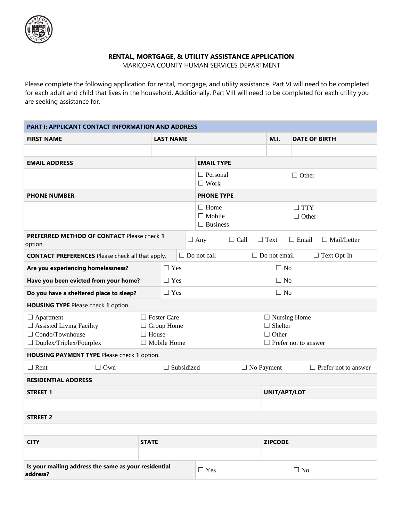

## **RENTAL, MORTGAGE, & UTILITY ASSISTANCE APPLICATION**

MARICOPA COUNTY HUMAN SERVICES DEPARTMENT

Please complete the following application for rental, mortgage, and utility assistance. Part VI will need to be completed for each adult and child that lives in the household. Additionally, Part VIII will need to be completed for each utility you are seeking assistance for.

| <b>PART I: APPLICANT CONTACT INFORMATION AND ADDRESS</b>                                                        |              |                                                               |  |                                                                                      |                                           |                   |                      |                             |  |
|-----------------------------------------------------------------------------------------------------------------|--------------|---------------------------------------------------------------|--|--------------------------------------------------------------------------------------|-------------------------------------------|-------------------|----------------------|-----------------------------|--|
| <b>FIRST NAME</b>                                                                                               |              | <b>LAST NAME</b>                                              |  |                                                                                      |                                           | <b>M.I.</b>       | <b>DATE OF BIRTH</b> |                             |  |
|                                                                                                                 |              |                                                               |  |                                                                                      |                                           |                   |                      |                             |  |
| <b>EMAIL ADDRESS</b>                                                                                            |              |                                                               |  | <b>EMAIL TYPE</b>                                                                    |                                           |                   |                      |                             |  |
|                                                                                                                 |              |                                                               |  | $\square$ Work                                                                       | $\Box$ Personal<br>$\Box$ Other           |                   |                      |                             |  |
| <b>PHONE NUMBER</b>                                                                                             |              |                                                               |  | <b>PHONE TYPE</b>                                                                    |                                           |                   |                      |                             |  |
|                                                                                                                 |              |                                                               |  | $\Box$ Home<br>$\Box$ Mobile<br>$\Box$ Business                                      | $\Box$ TTY<br>$\Box$ Other                |                   |                      |                             |  |
| PREFERRED METHOD OF CONTACT Please check 1<br>option.                                                           |              |                                                               |  | $\Box$ Any                                                                           | $\Box$ Call                               | $\Box$ Text       | $\Box$ Email         | $\Box$ Mail/Letter          |  |
| <b>CONTACT PREFERENCES</b> Please check all that apply.                                                         |              |                                                               |  | $\Box$ Do not call                                                                   | $\Box$ Do not email<br>$\Box$ Text Opt-In |                   |                      |                             |  |
| Are you experiencing homelessness?                                                                              |              | $\Box$ Yes                                                    |  |                                                                                      | $\Box$ No                                 |                   |                      |                             |  |
| Have you been evicted from your home?                                                                           |              | $\Box$ Yes                                                    |  |                                                                                      | $\Box$ No                                 |                   |                      |                             |  |
| Do you have a sheltered place to sleep?                                                                         |              | $\Box$ Yes                                                    |  |                                                                                      |                                           | $\Box$ No         |                      |                             |  |
| HOUSING TYPE Please check 1 option.                                                                             |              |                                                               |  |                                                                                      |                                           |                   |                      |                             |  |
| $\Box$ Apartment<br>$\Box$ Assisted Living Facility<br>$\Box$ Condo/Townhouse<br>$\Box$ Duplex/Triplex/Fourplex | $\Box$ House | $\Box$ Foster Care<br>$\Box$ Group Home<br>$\Box$ Mobile Home |  | $\Box$ Nursing Home<br>$\Box$ Shelter<br>$\Box$ Other<br>$\Box$ Prefer not to answer |                                           |                   |                      |                             |  |
| HOUSING PAYMENT TYPE Please check 1 option.                                                                     |              |                                                               |  |                                                                                      |                                           |                   |                      |                             |  |
| $\Box$ Rent<br>$\Box$ Own                                                                                       |              | $\Box$ Subsidized                                             |  |                                                                                      |                                           | $\Box$ No Payment |                      | $\Box$ Prefer not to answer |  |
| <b>RESIDENTIAL ADDRESS</b>                                                                                      |              |                                                               |  |                                                                                      |                                           |                   |                      |                             |  |
| <b>STREET 1</b>                                                                                                 |              |                                                               |  |                                                                                      |                                           | UNIT/APT/LOT      |                      |                             |  |
|                                                                                                                 |              |                                                               |  |                                                                                      |                                           |                   |                      |                             |  |
| <b>STREET 2</b>                                                                                                 |              |                                                               |  |                                                                                      |                                           |                   |                      |                             |  |
|                                                                                                                 |              |                                                               |  |                                                                                      |                                           |                   |                      |                             |  |
| <b>CITY</b>                                                                                                     | <b>STATE</b> |                                                               |  |                                                                                      |                                           | <b>ZIPCODE</b>    |                      |                             |  |
|                                                                                                                 |              |                                                               |  |                                                                                      |                                           |                   |                      |                             |  |
| Is your mailing address the same as your residential<br>address?                                                |              |                                                               |  | $\Box$ Yes                                                                           |                                           |                   | $\Box$ No            |                             |  |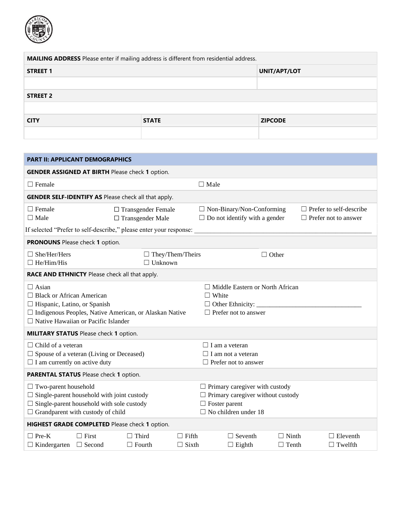

| MAILING ADDRESS Please enter if mailing address is different from residential address. |              |                |  |  |  |  |
|----------------------------------------------------------------------------------------|--------------|----------------|--|--|--|--|
| <b>STREET 1</b>                                                                        | UNIT/APT/LOT |                |  |  |  |  |
|                                                                                        |              |                |  |  |  |  |
| <b>STREET 2</b>                                                                        |              |                |  |  |  |  |
|                                                                                        |              |                |  |  |  |  |
| <b>CITY</b>                                                                            | <b>STATE</b> | <b>ZIPCODE</b> |  |  |  |  |
|                                                                                        |              |                |  |  |  |  |

| <b>PART II: APPLICANT DEMOGRAPHICS</b>                                                                                                                                                            |                               |                                                      |                              |                                                                                                                                          |                              |                                                               |  |  |  |  |
|---------------------------------------------------------------------------------------------------------------------------------------------------------------------------------------------------|-------------------------------|------------------------------------------------------|------------------------------|------------------------------------------------------------------------------------------------------------------------------------------|------------------------------|---------------------------------------------------------------|--|--|--|--|
| <b>GENDER ASSIGNED AT BIRTH Please check 1 option.</b>                                                                                                                                            |                               |                                                      |                              |                                                                                                                                          |                              |                                                               |  |  |  |  |
| $\Box$ Female<br>$\Box$ Male                                                                                                                                                                      |                               |                                                      |                              |                                                                                                                                          |                              |                                                               |  |  |  |  |
| <b>GENDER SELF-IDENTIFY AS Please check all that apply.</b>                                                                                                                                       |                               |                                                      |                              |                                                                                                                                          |                              |                                                               |  |  |  |  |
| $\Box$ Female<br>$\Box$ Male                                                                                                                                                                      |                               | $\Box$ Transgender Female<br>$\Box$ Transgender Male |                              | $\Box$ Non-Binary/Non-Conforming<br>$\Box$ Do not identify with a gender                                                                 |                              | $\Box$ Prefer to self-describe<br>$\Box$ Prefer not to answer |  |  |  |  |
| If selected "Prefer to self-describe," please enter your response:                                                                                                                                |                               |                                                      |                              |                                                                                                                                          |                              |                                                               |  |  |  |  |
| PRONOUNS Please check 1 option.                                                                                                                                                                   |                               |                                                      |                              |                                                                                                                                          |                              |                                                               |  |  |  |  |
| $\Box$ She/Her/Hers<br>$\Box$ He/Him/His                                                                                                                                                          |                               | $\Box$ Unknown                                       | $\Box$ They/Them/Theirs      |                                                                                                                                          | $\Box$ Other                 |                                                               |  |  |  |  |
| RACE AND ETHNICTY Please check all that apply.                                                                                                                                                    |                               |                                                      |                              |                                                                                                                                          |                              |                                                               |  |  |  |  |
| $\Box$ Asian<br>$\Box$ Black or African American<br>$\Box$ Hispanic, Latino, or Spanish<br>□ Indigenous Peoples, Native American, or Alaskan Native<br>$\Box$ Native Hawaiian or Pacific Islander |                               |                                                      |                              | $\Box$ Middle Eastern or North African<br>$\Box$ White<br>$\Box$ Prefer not to answer                                                    |                              |                                                               |  |  |  |  |
| <b>MILITARY STATUS</b> Please check 1 option.                                                                                                                                                     |                               |                                                      |                              |                                                                                                                                          |                              |                                                               |  |  |  |  |
| $\Box$ Child of a veteran<br>$\Box$ Spouse of a veteran (Living or Deceased)<br>$\Box$ I am currently on active duty                                                                              |                               |                                                      |                              | $\Box$ I am a veteran<br>$\Box$ I am not a veteran<br>$\Box$ Prefer not to answer                                                        |                              |                                                               |  |  |  |  |
| PARENTAL STATUS Please check 1 option.                                                                                                                                                            |                               |                                                      |                              |                                                                                                                                          |                              |                                                               |  |  |  |  |
| $\Box$ Two-parent household<br>$\Box$ Single-parent household with joint custody<br>$\Box$ Single-parent household with sole custody<br>$\Box$ Grandparent with custody of child                  |                               |                                                      |                              | $\Box$ Primary caregiver with custody<br>$\Box$ Primary caregiver without custody<br>$\Box$ Foster parent<br>$\Box$ No children under 18 |                              |                                                               |  |  |  |  |
| HIGHEST GRADE COMPLETED Please check 1 option.                                                                                                                                                    |                               |                                                      |                              |                                                                                                                                          |                              |                                                               |  |  |  |  |
| $\Box$ Pre-K<br>$\Box$ Kindergarten                                                                                                                                                               | $\Box$ First<br>$\Box$ Second | $\Box$ Third<br>$\Box$ Fourth                        | $\Box$ Fifth<br>$\Box$ Sixth | $\Box$ Seventh<br>$\Box$ Eighth                                                                                                          | $\Box$ Ninth<br>$\Box$ Tenth | $\Box$ Eleventh<br>$\Box$ Twelfth                             |  |  |  |  |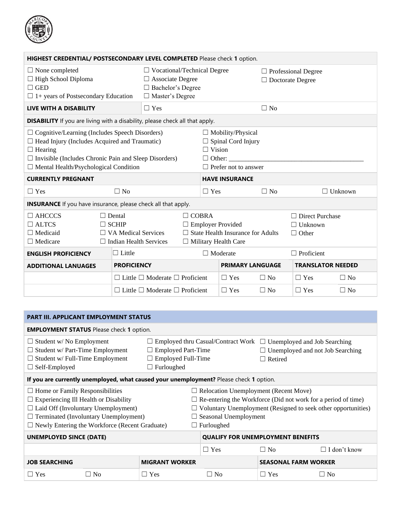

| HIGHEST CREDENTIAL/ POSTSECONDARY LEVEL COMPLETED Please check 1 option.                                                                                                                                                                        |                                                                                              |                                                 |                                                                                                                     |                                                                                                                        |                         |           |                                                          |                          |  |
|-------------------------------------------------------------------------------------------------------------------------------------------------------------------------------------------------------------------------------------------------|----------------------------------------------------------------------------------------------|-------------------------------------------------|---------------------------------------------------------------------------------------------------------------------|------------------------------------------------------------------------------------------------------------------------|-------------------------|-----------|----------------------------------------------------------|--------------------------|--|
| $\Box$ None completed<br>$\Box$ High School Diploma<br>$\Box$ GED<br>$\Box$ 1+ years of Postsecondary Education                                                                                                                                 |                                                                                              |                                                 | $\Box$ Vocational/Technical Degree<br>$\Box$ Associate Degree<br>$\Box$ Bachelor's Degree<br>□ Master's Degree      |                                                                                                                        |                         |           | $\Box$ Professional Degree<br>$\Box$ Doctorate Degree    |                          |  |
| <b>LIVE WITH A DISABILITY</b>                                                                                                                                                                                                                   |                                                                                              | $\Box$ Yes                                      |                                                                                                                     |                                                                                                                        |                         | $\Box$ No |                                                          |                          |  |
| <b>DISABILITY</b> If you are living with a disability, please check all that apply.                                                                                                                                                             |                                                                                              |                                                 |                                                                                                                     |                                                                                                                        |                         |           |                                                          |                          |  |
| $\Box$ Cognitive/Learning (Includes Speech Disorders)<br>$\Box$ Head Injury (Includes Acquired and Traumatic)<br>$\Box$ Hearing<br>$\Box$ Invisible (Includes Chronic Pain and Sleep Disorders)<br>$\Box$ Mental Health/Psychological Condition |                                                                                              |                                                 |                                                                                                                     | $\Box$ Mobility/Physical<br>$\Box$ Spinal Cord Injury<br>$\Box$ Vision<br>$\Box$ Other:<br>$\Box$ Prefer not to answer |                         |           |                                                          |                          |  |
| <b>CURRENTLY PREGNANT</b>                                                                                                                                                                                                                       |                                                                                              |                                                 |                                                                                                                     | <b>HAVE INSURANCE</b>                                                                                                  |                         |           |                                                          |                          |  |
| $\Box$ Yes                                                                                                                                                                                                                                      | $\Box$ No                                                                                    |                                                 |                                                                                                                     | $\Box$ Yes                                                                                                             |                         | $\Box$ No |                                                          | $\Box$ Unknown           |  |
| <b>INSURANCE</b> If you have insurance, please check all that apply.                                                                                                                                                                            |                                                                                              |                                                 |                                                                                                                     |                                                                                                                        |                         |           |                                                          |                          |  |
| $\Box$ AHCCCS<br>$\Box$ ALTCS<br>$\Box$ Medicaid<br>$\Box$ Medicare                                                                                                                                                                             | $\Box$ Dental<br>$\Box$ SCHIP<br>$\Box$ VA Medical Services<br>$\Box$ Indian Health Services |                                                 | $\Box$ COBRA<br>$\Box$ Employer Provided<br>$\Box$ State Health Insurance for Adults<br>$\Box$ Military Health Care |                                                                                                                        |                         |           | $\Box$ Direct Purchase<br>$\Box$ Unknown<br>$\Box$ Other |                          |  |
| <b>ENGLISH PROFICIENCY</b>                                                                                                                                                                                                                      | $\Box$ Little                                                                                |                                                 |                                                                                                                     |                                                                                                                        | $\Box$ Moderate         |           | $\Box$ Proficient                                        |                          |  |
| <b>ADDITIONAL LANUAGES</b>                                                                                                                                                                                                                      | <b>PROFICIENCY</b>                                                                           |                                                 |                                                                                                                     |                                                                                                                        | <b>PRIMARY LANGUAGE</b> |           |                                                          | <b>TRANSLATOR NEEDED</b> |  |
|                                                                                                                                                                                                                                                 |                                                                                              | $\Box$ Little $\Box$ Moderate $\Box$ Proficient |                                                                                                                     |                                                                                                                        | $\Box$ Yes              | $\Box$ No | $\Box$ Yes                                               | $\Box$ No                |  |
|                                                                                                                                                                                                                                                 |                                                                                              | $\Box$ Little $\Box$ Moderate $\Box$ Proficient |                                                                                                                     |                                                                                                                        | $\Box$ Yes              | $\Box$ No | $\Box$ Yes                                               | $\Box$ No                |  |

| <b>PART III. APPLICANT EMPLOYMENT STATUS</b>                                                                                                                                                                                                  |  |                                                                             |                                                                                                                                                                                                                                                   |                                                                                                 |                     |  |  |  |
|-----------------------------------------------------------------------------------------------------------------------------------------------------------------------------------------------------------------------------------------------|--|-----------------------------------------------------------------------------|---------------------------------------------------------------------------------------------------------------------------------------------------------------------------------------------------------------------------------------------------|-------------------------------------------------------------------------------------------------|---------------------|--|--|--|
| <b>EMPLOYMENT STATUS</b> Please check 1 option.                                                                                                                                                                                               |  |                                                                             |                                                                                                                                                                                                                                                   |                                                                                                 |                     |  |  |  |
| $\Box$ Student w/ No Employment<br>$\Box$ Student w/ Part-Time Employment<br>$\Box$ Student w/ Full-Time Employment<br>$\Box$ Self-Employed                                                                                                   |  | $\Box$ Employed Part-Time<br>$\Box$ Employed Full-Time<br>$\Box$ Furloughed | <b>Employed thru Casual/Contract Work</b>                                                                                                                                                                                                         | Unemployed and Job Searching<br>L.<br>$\Box$ Unemployed and not Job Searching<br>$\Box$ Retired |                     |  |  |  |
| If you are currently unemployed, what caused your unemployment? Please check 1 option.                                                                                                                                                        |  |                                                                             |                                                                                                                                                                                                                                                   |                                                                                                 |                     |  |  |  |
| $\Box$ Home or Family Responsibilities<br>$\Box$ Experiencing Ill Health or Disability<br>$\Box$ Laid Off (Involuntary Unemployment)<br>$\Box$ Terminated (Involuntary Unemployment)<br>$\Box$ Newly Entering the Workforce (Recent Graduate) |  |                                                                             | $\Box$ Relocation Unemployment (Recent Move)<br>$\Box$ Re-entering the Workforce (Did not work for a period of time)<br>$\Box$ Voluntary Unemployment (Resigned to seek other opportunities)<br>$\Box$ Seasonal Unemployment<br>$\Box$ Furloughed |                                                                                                 |                     |  |  |  |
| <b>UNEMPLOYED SINCE (DATE)</b>                                                                                                                                                                                                                |  |                                                                             | <b>QUALIFY FOR UNEMPLOYMENT BENEFITS</b>                                                                                                                                                                                                          |                                                                                                 |                     |  |  |  |
|                                                                                                                                                                                                                                               |  |                                                                             | $\Box$ Yes                                                                                                                                                                                                                                        | $\Box$ No                                                                                       | $\Box$ I don't know |  |  |  |
| <b>JOB SEARCHING</b>                                                                                                                                                                                                                          |  | <b>MIGRANT WORKER</b>                                                       |                                                                                                                                                                                                                                                   | <b>SEASONAL FARM WORKER</b>                                                                     |                     |  |  |  |
| $\Box$ Yes<br>$\Box$ No                                                                                                                                                                                                                       |  | $\Box$ Yes                                                                  | $\Box$ No                                                                                                                                                                                                                                         | $\Box$ Yes                                                                                      | $\Box$ No           |  |  |  |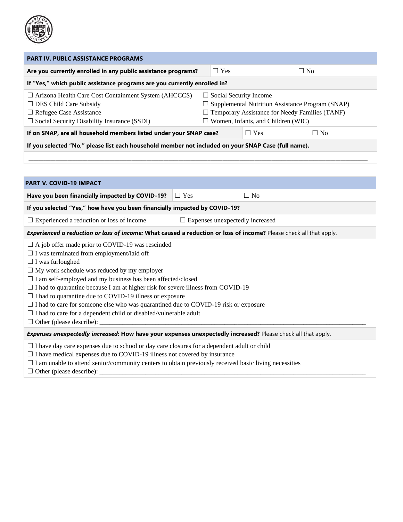

| <b>PART IV. PUBLC ASSISTANCE PROGRAMS</b>                                                                                                                                                                                                                                                                                                                                                                                                                                                                                                                                                                                                   |  |            |                                                                                                                                                                                                |           |  |  |  |  |
|---------------------------------------------------------------------------------------------------------------------------------------------------------------------------------------------------------------------------------------------------------------------------------------------------------------------------------------------------------------------------------------------------------------------------------------------------------------------------------------------------------------------------------------------------------------------------------------------------------------------------------------------|--|------------|------------------------------------------------------------------------------------------------------------------------------------------------------------------------------------------------|-----------|--|--|--|--|
| Are you currently enrolled in any public assistance programs?                                                                                                                                                                                                                                                                                                                                                                                                                                                                                                                                                                               |  | $\Box$ Yes |                                                                                                                                                                                                | $\Box$ No |  |  |  |  |
| If "Yes," which public assistance programs are you currently enrolled in?                                                                                                                                                                                                                                                                                                                                                                                                                                                                                                                                                                   |  |            |                                                                                                                                                                                                |           |  |  |  |  |
| □ Arizona Health Care Cost Containment System (AHCCCS)<br>$\Box$ DES Child Care Subsidy<br>$\Box$ Refugee Case Assistance<br>$\Box$ Social Security Disability Insurance (SSDI)                                                                                                                                                                                                                                                                                                                                                                                                                                                             |  |            | $\Box$ Social Security Income<br>$\Box$ Supplemental Nutrition Assistance Program (SNAP)<br>$\Box$ Temporary Assistance for Needy Families (TANF)<br>$\Box$ Women, Infants, and Children (WIC) |           |  |  |  |  |
| If on SNAP, are all household members listed under your SNAP case?                                                                                                                                                                                                                                                                                                                                                                                                                                                                                                                                                                          |  |            | $\Box$ Yes                                                                                                                                                                                     | $\Box$ No |  |  |  |  |
| If you selected "No," please list each household member not included on your SNAP Case (full name).                                                                                                                                                                                                                                                                                                                                                                                                                                                                                                                                         |  |            |                                                                                                                                                                                                |           |  |  |  |  |
|                                                                                                                                                                                                                                                                                                                                                                                                                                                                                                                                                                                                                                             |  |            |                                                                                                                                                                                                |           |  |  |  |  |
|                                                                                                                                                                                                                                                                                                                                                                                                                                                                                                                                                                                                                                             |  |            |                                                                                                                                                                                                |           |  |  |  |  |
| <b>PART V. COVID-19 IMPACT</b>                                                                                                                                                                                                                                                                                                                                                                                                                                                                                                                                                                                                              |  |            |                                                                                                                                                                                                |           |  |  |  |  |
| Have you been financially impacted by COVID-19?<br>$\Box$ Yes                                                                                                                                                                                                                                                                                                                                                                                                                                                                                                                                                                               |  |            | $\Box$ No                                                                                                                                                                                      |           |  |  |  |  |
| If you selected "Yes," how have you been financially impacted by COVID-19?                                                                                                                                                                                                                                                                                                                                                                                                                                                                                                                                                                  |  |            |                                                                                                                                                                                                |           |  |  |  |  |
| $\Box$ Experienced a reduction or loss of income                                                                                                                                                                                                                                                                                                                                                                                                                                                                                                                                                                                            |  |            | $\Box$ Expenses unexpectedly increased                                                                                                                                                         |           |  |  |  |  |
| Experienced a reduction or loss of income: What caused a reduction or loss of income? Please check all that apply.                                                                                                                                                                                                                                                                                                                                                                                                                                                                                                                          |  |            |                                                                                                                                                                                                |           |  |  |  |  |
| $\Box$ A job offer made prior to COVID-19 was rescinded<br>$\Box$ I was terminated from employment/laid off<br>$\Box$ I was furloughed<br>$\Box$ My work schedule was reduced by my employer<br>$\Box$ I am self-employed and my business has been affected/closed<br>$\Box$ I had to quarantine because I am at higher risk for severe illness from COVID-19<br>$\Box$ I had to quarantine due to COVID-19 illness or exposure<br>$\Box$ I had to care for someone else who was quarantined due to COVID-19 risk or exposure<br>$\Box$ I had to care for a dependent child or disabled/vulnerable adult<br>$\Box$ Other (please describe): |  |            |                                                                                                                                                                                                |           |  |  |  |  |
| Expenses unexpectedly increased: How have your expenses unexpectedly increased? Please check all that apply.                                                                                                                                                                                                                                                                                                                                                                                                                                                                                                                                |  |            |                                                                                                                                                                                                |           |  |  |  |  |
| $\Box$ I have day care expenses due to school or day care closures for a dependent adult or child<br>$\Box$ I have medical expenses due to COVID-19 illness not covered by insurance<br>$\Box$ I am unable to attend senior/community centers to obtain previously received basic living necessities                                                                                                                                                                                                                                                                                                                                        |  |            |                                                                                                                                                                                                |           |  |  |  |  |

☐ Other (please describe): \_\_\_\_\_\_\_\_\_\_\_\_\_\_\_\_\_\_\_\_\_\_\_\_\_\_\_\_\_\_\_\_\_\_\_\_\_\_\_\_\_\_\_\_\_\_\_\_\_\_\_\_\_\_\_\_\_\_\_\_\_\_\_\_\_\_\_\_\_\_\_\_\_\_\_\_\_\_\_\_\_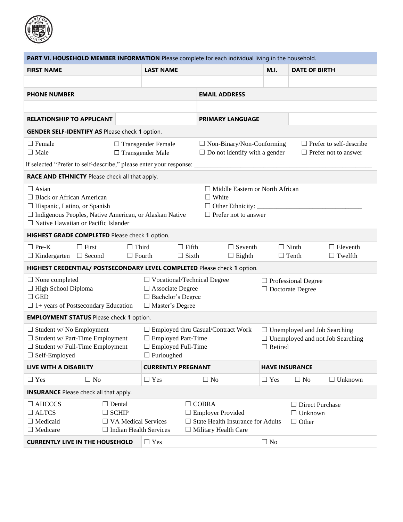

| PART VI. HOUSEHOLD MEMBER INFORMATION Please complete for each individual living in the household.                                                                                                                                                                                         |                                                             |                                                                                                           |                                                                                                                                               |                       |                                                          |                                                               |  |  |
|--------------------------------------------------------------------------------------------------------------------------------------------------------------------------------------------------------------------------------------------------------------------------------------------|-------------------------------------------------------------|-----------------------------------------------------------------------------------------------------------|-----------------------------------------------------------------------------------------------------------------------------------------------|-----------------------|----------------------------------------------------------|---------------------------------------------------------------|--|--|
| <b>FIRST NAME</b>                                                                                                                                                                                                                                                                          |                                                             | <b>LAST NAME</b>                                                                                          | <b>DATE OF BIRTH</b>                                                                                                                          |                       |                                                          |                                                               |  |  |
|                                                                                                                                                                                                                                                                                            |                                                             |                                                                                                           |                                                                                                                                               |                       |                                                          |                                                               |  |  |
| <b>PHONE NUMBER</b>                                                                                                                                                                                                                                                                        |                                                             |                                                                                                           | <b>EMAIL ADDRESS</b>                                                                                                                          |                       |                                                          |                                                               |  |  |
|                                                                                                                                                                                                                                                                                            |                                                             |                                                                                                           |                                                                                                                                               |                       |                                                          |                                                               |  |  |
| <b>RELATIONSHIP TO APPLICANT</b>                                                                                                                                                                                                                                                           |                                                             |                                                                                                           | <b>PRIMARY LANGUAGE</b>                                                                                                                       |                       |                                                          |                                                               |  |  |
| <b>GENDER SELF-IDENTIFY AS Please check 1 option.</b>                                                                                                                                                                                                                                      |                                                             |                                                                                                           |                                                                                                                                               |                       |                                                          |                                                               |  |  |
| $\Box$ Female<br>$\Box$ Male                                                                                                                                                                                                                                                               |                                                             | $\Box$ Transgender Female<br>$\square$ Transgender Male                                                   | $\Box$ Non-Binary/Non-Conforming<br>$\Box$ Do not identify with a gender                                                                      |                       |                                                          | $\Box$ Prefer to self-describe<br>$\Box$ Prefer not to answer |  |  |
| If selected "Prefer to self-describe," please enter your response: ____________                                                                                                                                                                                                            |                                                             |                                                                                                           |                                                                                                                                               |                       |                                                          |                                                               |  |  |
| RACE AND ETHNICTY Please check all that apply.                                                                                                                                                                                                                                             |                                                             |                                                                                                           |                                                                                                                                               |                       |                                                          |                                                               |  |  |
| $\Box$ Asian<br>$\Box$ Middle Eastern or North African<br>$\Box$ Black or African American<br>$\Box$ White<br>$\Box$ Hispanic, Latino, or Spanish<br>□ Indigenous Peoples, Native American, or Alaskan Native<br>$\Box$ Prefer not to answer<br>$\Box$ Native Hawaiian or Pacific Islander |                                                             |                                                                                                           |                                                                                                                                               |                       |                                                          |                                                               |  |  |
| HIGHEST GRADE COMPLETED Please check 1 option.                                                                                                                                                                                                                                             |                                                             |                                                                                                           |                                                                                                                                               |                       |                                                          |                                                               |  |  |
| $\Box$ Pre-K<br>$\Box$ First<br>$\Box$ Kindergarten $\Box$ Second                                                                                                                                                                                                                          | $\Box$ Third<br>$\Box$ Fourth                               | $\Box$ Fifth<br>$\Box$ Sixth                                                                              | $\Box$ Seventh<br>$\Box$ Eighth                                                                                                               |                       | $\Box$ Ninth<br>$\Box$ Tenth                             | $\Box$ Eleventh<br>$\Box$ Twelfth                             |  |  |
| HIGHEST CREDENTIAL/ POSTSECONDARY LEVEL COMPLETED Please check 1 option.                                                                                                                                                                                                                   |                                                             |                                                                                                           |                                                                                                                                               |                       |                                                          |                                                               |  |  |
| $\Box$ None completed<br>$\Box$ High School Diploma<br>$\Box$ GED<br>$\Box$ 1+ years of Postsecondary Education                                                                                                                                                                            |                                                             | $\Box$ Vocational/Technical Degree<br>$\Box$ Associate Degree<br>□ Bachelor's Degree<br>□ Master's Degree | $\Box$ Professional Degree<br>$\Box$ Doctorate Degree                                                                                         |                       |                                                          |                                                               |  |  |
| <b>EMPLOYMENT STATUS</b> Please check 1 option.                                                                                                                                                                                                                                            |                                                             |                                                                                                           |                                                                                                                                               |                       |                                                          |                                                               |  |  |
| $\Box$ Student w/No Employment<br>$\Box$ Student w/ Part-Time Employment<br>$\Box$ Student w/ Full-Time Employment<br>$\Box$ Self-Employed                                                                                                                                                 |                                                             | $\Box$ Employed Part-Time<br>$\Box$ Employed Full-Time<br>$\Box$ Furloughed                               | $\Box$ Employed thru Casual/Contract Work<br>$\Box$ Unemployed and Job Searching<br>$\Box$ Unemployed and not Job Searching<br>$\Box$ Retired |                       |                                                          |                                                               |  |  |
| <b>LIVE WITH A DISABILTY</b>                                                                                                                                                                                                                                                               |                                                             | <b>CURRENTLY PREGNANT</b>                                                                                 |                                                                                                                                               | <b>HAVE INSURANCE</b> |                                                          |                                                               |  |  |
| $\Box$ Yes<br>$\Box$ No                                                                                                                                                                                                                                                                    |                                                             | $\Box$ Yes                                                                                                | $\Box$ No                                                                                                                                     | $\Box$ Yes            | $\Box$ No                                                | $\Box$ Unknown                                                |  |  |
| <b>INSURANCE</b> Please check all that apply.                                                                                                                                                                                                                                              |                                                             |                                                                                                           |                                                                                                                                               |                       |                                                          |                                                               |  |  |
| $\Box$ AHCCCS<br>$\Box$ ALTCS<br>$\Box$ Medicaid<br>$\Box$ Medicare                                                                                                                                                                                                                        | $\Box$ Dental<br>$\Box$ SCHIP<br>$\Box$ VA Medical Services | $\Box$ Indian Health Services                                                                             | $\Box$ COBRA<br>$\Box$ Employer Provided<br>$\Box$ State Health Insurance for Adults<br>$\Box$ Military Health Care                           |                       | $\Box$ Direct Purchase<br>$\Box$ Unknown<br>$\Box$ Other |                                                               |  |  |
| <b>CURRENTLY LIVE IN THE HOUSEHOLD</b>                                                                                                                                                                                                                                                     |                                                             | $\Box$ Yes                                                                                                |                                                                                                                                               | $\Box$ No             |                                                          |                                                               |  |  |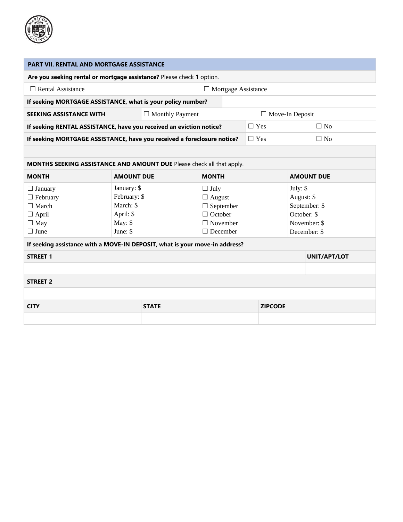

| <b>PART VII. RENTAL AND MORTGAGE ASSISTANCE</b>                                                |                                                                              |                        |                                                                                                          |  |            |                        |                                                                            |  |
|------------------------------------------------------------------------------------------------|------------------------------------------------------------------------------|------------------------|----------------------------------------------------------------------------------------------------------|--|------------|------------------------|----------------------------------------------------------------------------|--|
| Are you seeking rental or mortgage assistance? Please check 1 option.                          |                                                                              |                        |                                                                                                          |  |            |                        |                                                                            |  |
| $\Box$ Rental Assistance<br>$\Box$ Mortgage Assistance                                         |                                                                              |                        |                                                                                                          |  |            |                        |                                                                            |  |
| If seeking MORTGAGE ASSISTANCE, what is your policy number?                                    |                                                                              |                        |                                                                                                          |  |            |                        |                                                                            |  |
| <b>SEEKING ASSISTANCE WITH</b>                                                                 |                                                                              | $\Box$ Monthly Payment |                                                                                                          |  |            | $\Box$ Move-In Deposit |                                                                            |  |
| If seeking RENTAL ASSISTANCE, have you received an eviction notice?                            |                                                                              |                        |                                                                                                          |  | $\Box$ Yes |                        | $\Box$ No                                                                  |  |
| If seeking MORTGAGE ASSISTANCE, have you received a foreclosure notice?                        |                                                                              |                        |                                                                                                          |  | $\Box$ Yes |                        | $\Box$ No                                                                  |  |
|                                                                                                |                                                                              |                        |                                                                                                          |  |            |                        |                                                                            |  |
| MONTHS SEEKING ASSISTANCE AND AMOUNT DUE Please check all that apply.                          |                                                                              |                        |                                                                                                          |  |            |                        |                                                                            |  |
| <b>MONTH</b>                                                                                   | <b>AMOUNT DUE</b>                                                            |                        | <b>MONTH</b>                                                                                             |  |            |                        | <b>AMOUNT DUE</b>                                                          |  |
| $\Box$ January<br>$\Box$ February<br>$\Box$ March<br>$\Box$ April<br>$\Box$ May<br>$\Box$ June | January: \$<br>February: \$<br>March: \$<br>April: \$<br>May: \$<br>June: \$ |                        | $\Box$ July<br>$\Box$ August<br>$\Box$ September<br>$\Box$ October<br>$\Box$ November<br>$\Box$ December |  | July: $$$  |                        | August: \$<br>September: \$<br>October: \$<br>November: \$<br>December: \$ |  |
| If seeking assistance with a MOVE-IN DEPOSIT, what is your move-in address?                    |                                                                              |                        |                                                                                                          |  |            |                        |                                                                            |  |
| <b>STREET 1</b>                                                                                |                                                                              |                        |                                                                                                          |  |            |                        | UNIT/APT/LOT                                                               |  |
|                                                                                                |                                                                              |                        |                                                                                                          |  |            |                        |                                                                            |  |
| <b>STREET 2</b>                                                                                |                                                                              |                        |                                                                                                          |  |            |                        |                                                                            |  |
|                                                                                                |                                                                              |                        |                                                                                                          |  |            |                        |                                                                            |  |
| <b>CITY</b>                                                                                    |                                                                              | <b>STATE</b>           |                                                                                                          |  |            | <b>ZIPCODE</b>         |                                                                            |  |
|                                                                                                |                                                                              |                        |                                                                                                          |  |            |                        |                                                                            |  |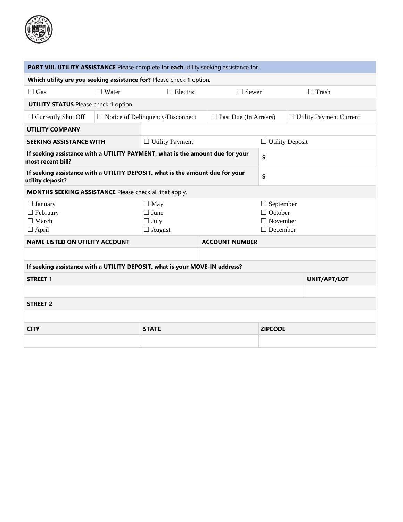

| PART VIII. UTILITY ASSISTANCE Please complete for each utility seeking assistance for.             |              |                                                           |                                                                          |                        |  |                                |  |  |
|----------------------------------------------------------------------------------------------------|--------------|-----------------------------------------------------------|--------------------------------------------------------------------------|------------------------|--|--------------------------------|--|--|
| Which utility are you seeking assistance for? Please check 1 option.                               |              |                                                           |                                                                          |                        |  |                                |  |  |
| $\Box$ Gas                                                                                         | $\Box$ Water | $\Box$ Electric                                           | $\Box$ Sewer                                                             |                        |  | $\Box$ Trash                   |  |  |
| <b>UTILITY STATUS</b> Please check 1 option.                                                       |              |                                                           |                                                                          |                        |  |                                |  |  |
| $\Box$ Currently Shut Off                                                                          |              | $\Box$ Notice of Delinquency/Disconnect                   | $\Box$ Past Due (In Arrears)                                             |                        |  | $\Box$ Utility Payment Current |  |  |
| <b>UTILITY COMPANY</b>                                                                             |              |                                                           |                                                                          |                        |  |                                |  |  |
| <b>SEEKING ASSISTANCE WITH</b>                                                                     |              | $\Box$ Utility Payment                                    |                                                                          | $\Box$ Utility Deposit |  |                                |  |  |
| If seeking assistance with a UTILITY PAYMENT, what is the amount due for your<br>most recent bill? |              |                                                           |                                                                          | \$                     |  |                                |  |  |
| If seeking assistance with a UTILITY DEPOSIT, what is the amount due for your<br>utility deposit?  |              |                                                           |                                                                          | \$                     |  |                                |  |  |
| MONTHS SEEKING ASSISTANCE Please check all that apply.                                             |              |                                                           |                                                                          |                        |  |                                |  |  |
| $\Box$ January<br>$\Box$ February<br>$\Box$ March<br>$\Box$ April                                  |              | $\Box$ May<br>$\Box$ June<br>$\Box$ July<br>$\Box$ August | $\Box$ September<br>$\Box$ October<br>$\Box$ November<br>$\Box$ December |                        |  |                                |  |  |
| <b>NAME LISTED ON UTILITY ACCOUNT</b>                                                              |              |                                                           | <b>ACCOUNT NUMBER</b>                                                    |                        |  |                                |  |  |
|                                                                                                    |              |                                                           |                                                                          |                        |  |                                |  |  |
| If seeking assistance with a UTILITY DEPOSIT, what is your MOVE-IN address?                        |              |                                                           |                                                                          |                        |  |                                |  |  |
| <b>STREET 1</b>                                                                                    |              |                                                           |                                                                          |                        |  | UNIT/APT/LOT                   |  |  |
|                                                                                                    |              |                                                           |                                                                          |                        |  |                                |  |  |
| <b>STREET 2</b>                                                                                    |              |                                                           |                                                                          |                        |  |                                |  |  |
|                                                                                                    |              |                                                           |                                                                          |                        |  |                                |  |  |
| <b>CITY</b>                                                                                        |              | <b>STATE</b>                                              |                                                                          | <b>ZIPCODE</b>         |  |                                |  |  |
|                                                                                                    |              |                                                           |                                                                          |                        |  |                                |  |  |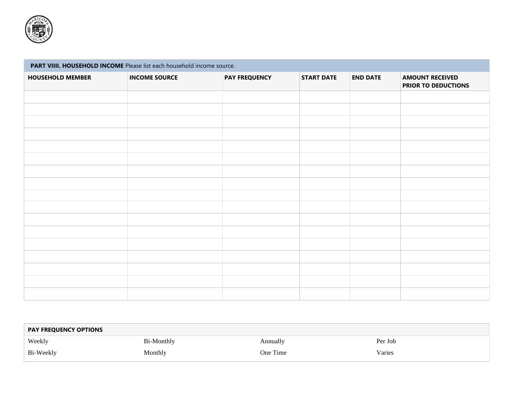

## **PART VIIII. HOUSEHOLD INCOME** Please list each household income source. **HOUSEHOLD MEMBER INCOME SOURCE PAY FREQUENCY START DATE END DATE AMOUNT RECEIVED PRIOR TO DEDUCTIONS**

| <b>PAY FREQUENCY OPTIONS</b> |                   |          |         |  |  |  |  |
|------------------------------|-------------------|----------|---------|--|--|--|--|
| Weekly                       | <b>Bi-Monthly</b> | Annually | Per Job |  |  |  |  |
| Bi-Weekly                    | Monthly           | One Time | Varies  |  |  |  |  |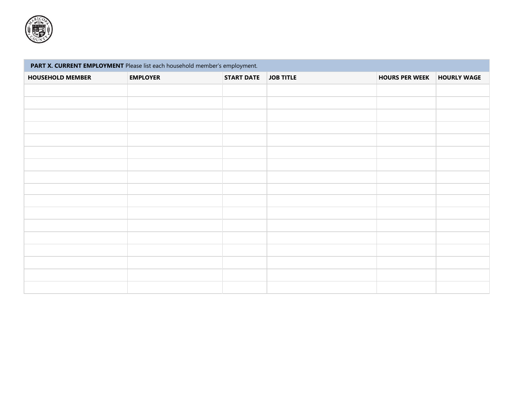

| PART X. CURRENT EMPLOYMENT Please list each household member's employment. |                 |                   |                  |                       |                    |  |  |  |  |  |
|----------------------------------------------------------------------------|-----------------|-------------------|------------------|-----------------------|--------------------|--|--|--|--|--|
| <b>HOUSEHOLD MEMBER</b>                                                    | <b>EMPLOYER</b> | <b>START DATE</b> | <b>JOB TITLE</b> | <b>HOURS PER WEEK</b> | <b>HOURLY WAGE</b> |  |  |  |  |  |
|                                                                            |                 |                   |                  |                       |                    |  |  |  |  |  |
|                                                                            |                 |                   |                  |                       |                    |  |  |  |  |  |
|                                                                            |                 |                   |                  |                       |                    |  |  |  |  |  |
|                                                                            |                 |                   |                  |                       |                    |  |  |  |  |  |
|                                                                            |                 |                   |                  |                       |                    |  |  |  |  |  |
|                                                                            |                 |                   |                  |                       |                    |  |  |  |  |  |
|                                                                            |                 |                   |                  |                       |                    |  |  |  |  |  |
|                                                                            |                 |                   |                  |                       |                    |  |  |  |  |  |
|                                                                            |                 |                   |                  |                       |                    |  |  |  |  |  |
|                                                                            |                 |                   |                  |                       |                    |  |  |  |  |  |
|                                                                            |                 |                   |                  |                       |                    |  |  |  |  |  |
|                                                                            |                 |                   |                  |                       |                    |  |  |  |  |  |
|                                                                            |                 |                   |                  |                       |                    |  |  |  |  |  |
|                                                                            |                 |                   |                  |                       |                    |  |  |  |  |  |
|                                                                            |                 |                   |                  |                       |                    |  |  |  |  |  |
|                                                                            |                 |                   |                  |                       |                    |  |  |  |  |  |
|                                                                            |                 |                   |                  |                       |                    |  |  |  |  |  |